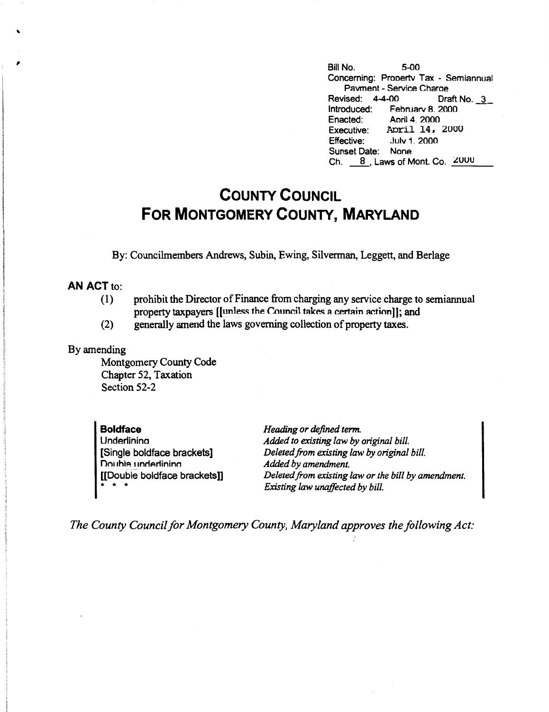, Bill No. 5-00 Concerning: Prooertv Tax - Semiannual Pavment - Service Charoe Revised: 4-4-00 Draft No. 3<br>Introduced: February 8. 2000 February 8. 2000 Enacted: Aoril 4. 2000 Executive: April 14, 2000<br>Effective: July 1, 2000 Effective: Julv 1. 2000 Sunset Date: None Ch.  $8$ , Laws of Mont. Co.  $2000$ 

## **COUNTY COUNCIL FOR MONTGOMERY COUNTY, MARYLAND**

By: Councilrnembers Andrews, Subin, Ewing, Silverman, Leggett, and Berlage

## **AN ACT** to:

- (1) prohibit the Director of Finance from charging any service charge to semiannual property taxpayers [[unless the Council takes a certain action]]; and
- (2) generally amend the laws governing collection of property taxes.

## By amending

Montgomery County Code Chapter 52, Taxation Section 52-2

**Boldface Underlining** [Single boldface brackets] Double underlining [[Double boldface brackets]] \* \* \*

*Heading or defined term. Added to existing law by original bill. Deleted from existing law by original bill. Added by amendment. Deleted from existing law or the bill by amendment. Existing law unaffected by bill.* 

*The County Council for Montgomery County, Maryland approves the following Act:*